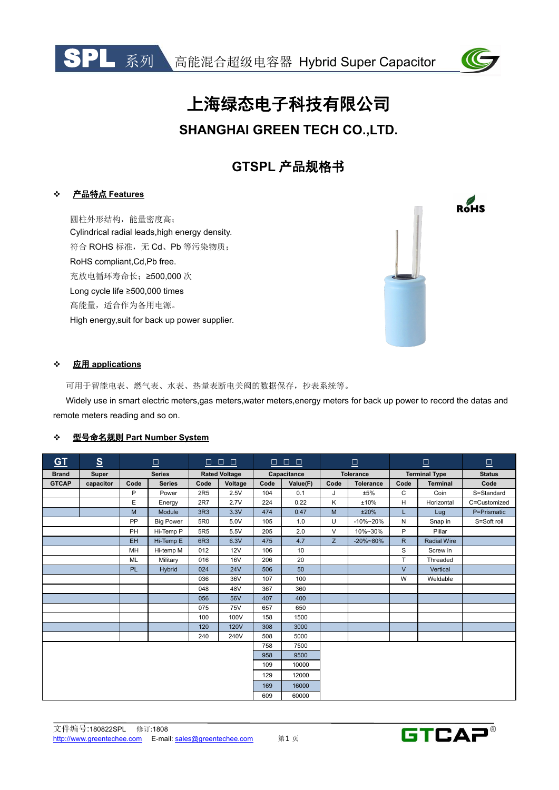



 $R_{\text{HSS}}$ 

# 上海绿态电子科技有限公司

# **SHANGHAI GREEN TECH CO.,LTD.**

# **GTSPL** 产品规格书

#### 产品特点 **Features**

圆柱外形结构,能量密度高; Cylindrical radial leads,high energy density. 符合 ROHS 标准,无 Cd、Pb 等污染物质; RoHS compliant,Cd,Pb free. 充放电循环寿命长;≥500,000 次 Long cycle life ≥500,000 times 高能量,适合作为备用电源。 High energy,suit for back up power supplier.



#### 应用 **applications**

可用于智能电表、燃气表、水表、热量表断电关阀的数据保存,抄表系统等。

Widely use in smart electric meters,gas meters,water meters,energy meters for back up power to record the datas and remote meters reading and so on.

#### 型号命名规则 **Part Number System**

| $\underline{\text{GT}}$ | $\underline{\underline{\mathbf{S}}}$ | $\boxed{\square}$ |                  | $\begin{array}{c c c c c} \Box & \Box & \Box \end{array}$ |                      | $\Box$ 0 0, |             | $\boxed{\square}$ |                  | $\mathbf{\underline{\square}}$ |                      | $\mathbf{\underline{\square}}$ |
|-------------------------|--------------------------------------|-------------------|------------------|-----------------------------------------------------------|----------------------|-------------|-------------|-------------------|------------------|--------------------------------|----------------------|--------------------------------|
| <b>Brand</b>            | Super                                |                   | <b>Series</b>    |                                                           | <b>Rated Voltage</b> |             | Capacitance |                   | <b>Tolerance</b> |                                | <b>Terminal Type</b> | <b>Status</b>                  |
| <b>GTCAP</b>            | capacitor                            | Code              | <b>Series</b>    | Code                                                      | Voltage              | Code        | Value(F)    | Code              | <b>Tolerance</b> | Code                           | <b>Terminal</b>      | Code                           |
|                         |                                      | P                 | Power            | 2R <sub>5</sub>                                           | 2.5V                 | 104         | 0.1         | J                 | ±5%              | $\mathsf{C}$                   | Coin                 | S=Standard                     |
|                         |                                      | E                 | Energy           | 2R7                                                       | 2.7V                 | 224         | 0.22        | K                 | ±10%             | H                              | Horizontal           | C=Customized                   |
|                         |                                      | M                 | Module           | 3R3                                                       | 3.3V                 | 474         | 0.47        | M                 | ±20%             |                                | Lug                  | P=Prismatic                    |
|                         |                                      | PP                | <b>Big Power</b> | 5R0                                                       | 5.0V                 | 105         | 1.0         | U                 | $-10\% - 20\%$   | N                              | Snap in              | S=Soft roll                    |
|                         |                                      | PH                | Hi-Temp P        | 5R <sub>5</sub>                                           | 5.5V                 | 205         | 2.0         | $\vee$            | 10%~30%          | P                              | Pillar               |                                |
|                         |                                      | <b>EH</b>         | Hi-Temp E        | 6R3                                                       | 6.3V                 | 475         | 4.7         | Z                 | $-20\% - 80\%$   | R                              | <b>Radial Wire</b>   |                                |
|                         |                                      | MH                | Hi-temp M        | 012                                                       | 12V                  | 106         | 10          |                   |                  | S                              | Screw in             |                                |
|                         |                                      | <b>ML</b>         | Military         | 016                                                       | <b>16V</b>           | 206         | 20          |                   |                  | T                              | Threaded             |                                |
|                         |                                      | <b>PL</b>         | Hybrid           | 024                                                       | <b>24V</b>           | 506         | 50          |                   |                  | $\vee$                         | Vertical             |                                |
|                         |                                      |                   |                  | 036                                                       | 36V                  | 107         | 100         |                   |                  | W                              | Weldable             |                                |
|                         |                                      |                   |                  | 048                                                       | 48V                  | 367         | 360         |                   |                  |                                |                      |                                |
|                         |                                      |                   |                  | 056                                                       | 56V                  | 407         | 400         |                   |                  |                                |                      |                                |
|                         |                                      |                   |                  | 075                                                       | <b>75V</b>           | 657         | 650         |                   |                  |                                |                      |                                |
|                         |                                      |                   |                  | 100                                                       | 100V                 | 158         | 1500        |                   |                  |                                |                      |                                |
|                         |                                      |                   |                  | 120                                                       | <b>120V</b>          | 308         | 3000        |                   |                  |                                |                      |                                |
|                         |                                      |                   |                  | 240                                                       | 240V                 | 508         | 5000        |                   |                  |                                |                      |                                |
|                         |                                      |                   |                  |                                                           |                      | 758         | 7500        |                   |                  |                                |                      |                                |
|                         |                                      |                   |                  |                                                           |                      | 958         | 9500        |                   |                  |                                |                      |                                |
|                         |                                      |                   |                  |                                                           |                      | 109         | 10000       |                   |                  |                                |                      |                                |
|                         |                                      |                   |                  |                                                           |                      | 129         | 12000       |                   |                  |                                |                      |                                |
|                         |                                      |                   |                  |                                                           |                      | 169         | 16000       |                   |                  |                                |                      |                                |
|                         |                                      |                   |                  |                                                           |                      | 609         | 60000       |                   |                  |                                |                      |                                |

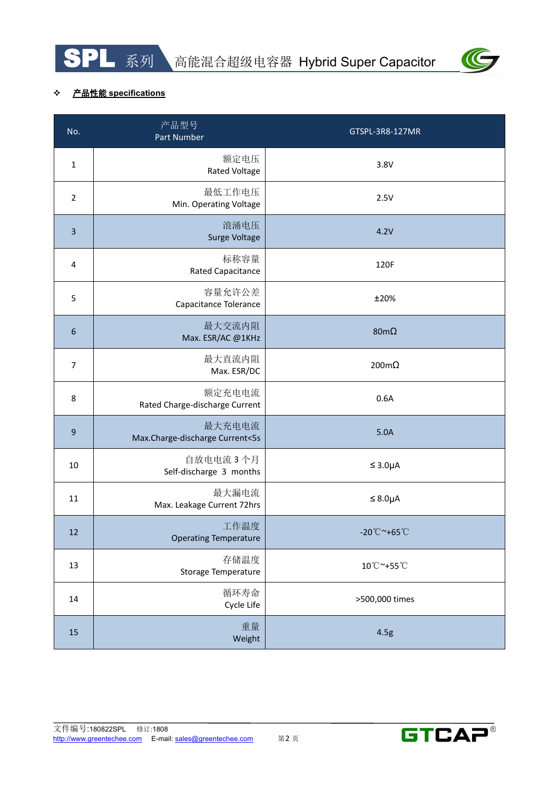



### 产品性能 **specifications**

| No.              | 产品型号<br>Part Number                       | GTSPL-3R8-127MR                   |
|------------------|-------------------------------------------|-----------------------------------|
| $\mathbf{1}$     | 额定电压<br><b>Rated Voltage</b>              | 3.8V                              |
| $\overline{2}$   | 最低工作电压<br>Min. Operating Voltage          | 2.5V                              |
| $\overline{3}$   | 浪涌电压<br>Surge Voltage                     | 4.2V                              |
| 4                | 标称容量<br><b>Rated Capacitance</b>          | 120F                              |
| 5                | 容量允许公差<br>Capacitance Tolerance           | ±20%                              |
| $\boldsymbol{6}$ | 最大交流内阻<br>Max. ESR/AC @1KHz               | 80m $\Omega$                      |
| $\overline{7}$   | 最大直流内阻<br>Max. ESR/DC                     | $200 \text{m}\Omega$              |
| 8                | 额定充电电流<br>Rated Charge-discharge Current  | 0.6A                              |
| $\boldsymbol{9}$ | 最大充电电流<br>Max.Charge-discharge Current<5s | 5.0A                              |
| 10               | 自放电电流 3个月<br>Self-discharge 3 months      | $\leq 3.0\mu A$                   |
| 11               | 最大漏电流<br>Max. Leakage Current 72hrs       | $\leq$ 8.0µA                      |
| 12               | 工作温度<br><b>Operating Temperature</b>      | $-20^{\circ}$ C ~+65 $^{\circ}$ C |
| 13               | 存储温度<br>Storage Temperature               | 10°C~+55°C                        |
| 14               | 循环寿命<br>Cycle Life                        | >500,000 times                    |
| 15               | 重量<br>Weight                              | 4.5g                              |